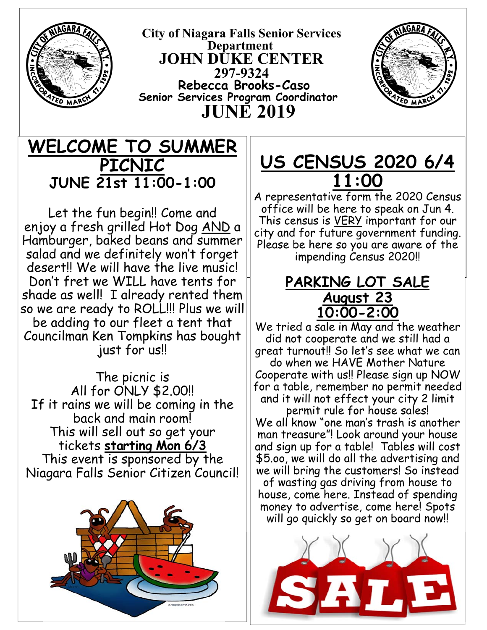

 **City of Niagara Falls Senior Services Department JOHN DUKE CENTER 297-9324 Rebecca Brooks-Caso Senior Services Program Coordinator JUNE 2019** 



# **WELCOME TO SUMMER PICNIC JUNE 21st 11:00-1:00**

 shade as well! I already rented them Let the fun begin!! Come and enjoy a fresh grilled Hot Dog AND a Hamburger, baked beans and summer salad and we definitely won't forget desert!! We will have the live music! Don't fret we WILL have tents for so we are ready to ROLL!!! Plus we will be adding to our fleet a tent that Councilman Ken Tompkins has bought just for us!!

The picnic is All for ONLY \$2.00!! If it rains we will be coming in the back and main room! This will sell out so get your tickets **starting Mon 6/3** This event is sponsored by the Niagara Falls Senior Citizen Council!



# **US CENSUS 2020 6/4 11:00**

A representative form the 2020 Census office will be here to speak on Jun 4. This census is VERY important for our city and for future government funding. Please be here so you are aware of the impending Census 2020!!

### **PARKING LOT SALE August 23 10:00-2:00**

We tried a sale in May and the weather did not cooperate and we still had a great turnout!! So let's see what we can do when we HAVE Mother Nature Cooperate with us!! Please sign up NOW for a table, remember no permit needed and it will not effect your city 2 limit

permit rule for house sales! We all know "one man's trash is another man treasure"! Look around your house and sign up for a table! Tables will cost \$5.oo, we will do all the advertising and we will bring the customers! So instead

of wasting gas driving from house to house, come here. Instead of spending money to advertise, come here! Spots will go quickly so get on board now!

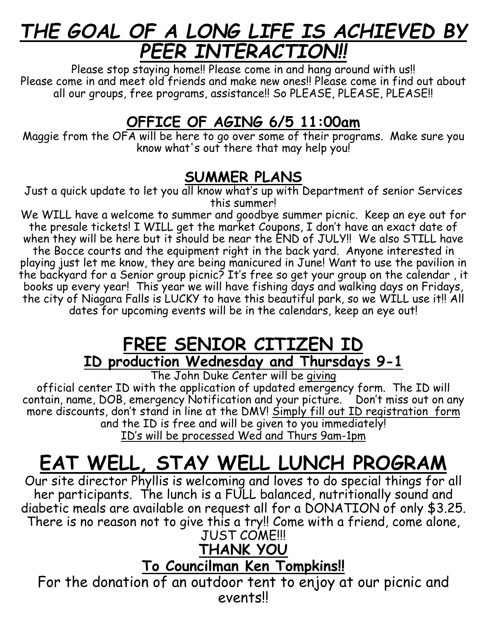# *THE GOAL OF A LONG LIFE IS ACHIEVED BY PEER INTERACTION!!*

Please stop staying home!! Please come in and hang around with us!! Please come in and meet old friends and make new ones!! Please come in find out about all our groups, free programs, assistance!! So PLEASE, PLEASE, PLEASE!!

# **OFFICE OF AGING 6/5 11:00am**

Maggie from the OFA will be here to go over some of their programs. Make sure you know what's out there that may help you!

### **SUMMER PLANS**

Just a quick update to let you all know what's up with Department of senior Services this summer!

We WILL have a welcome to summer and goodbye summer picnic. Keep an eye out for the presale tickets! I WILL get the market Coupons, I don't have an exact date of when they will be here but it should be near the END of JULY!! We also STILL have the Bocce courts and the equipment right in the back yard. Anyone interested in playing just let me know, they are being manicured in June! Want to use the pavilion in the backyard for a Senior group picnic? It's free so get your group on the calendar, it books up every year! This year we will have fishing days and walking days on Fridays, the city of Niagara Falls is LUCKY to have this beautiful park, so we WILL use it!! All dates for upcoming events will be in the calendars, keep an eye out!

# **FREE SENIOR CITIZEN ID ID production Wednesday and Thursdays 9-1**

The John Duke Center will be giving

official center ID with the application of updated emergency form. The ID will contain, name, DOB, emergency Notification and your picture. Don't miss out on any more discounts, don't stand in line at the DMV! <u>Simply fill out ID registration form</u> and the ID is free and will be given to you immediately! ID's will be processed Wed and Thurs 9am-1pm

# **EAT WELL, STAY WELL LUNCH PROGRAM**

Our site director Phyllis is welcoming and loves to do special things for all her participants. The lunch is a FULL balanced, nutritionally sound and diabetic meals are available on request all for a DONATION of only \$3.25. There is no reason not to give this a try!! Come with a friend, come alone, JUST COME!!!

# **THANK YOU**

# **To Councilman Ken Tompkins!!**

For the donation of an outdoor tent to enjoy at our picnic and events!!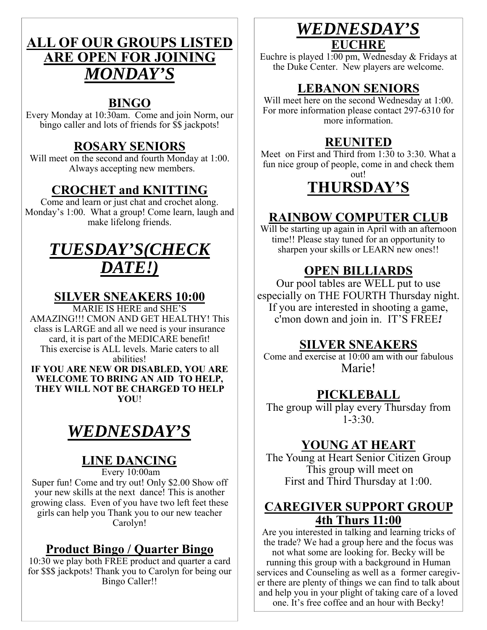### **ALL OF OUR GROUPS LISTED ARE OPEN FOR JOINING**  *MONDAY'S*

#### **BINGO**

Every Monday at 10:30am. Come and join Norm, our bingo caller and lots of friends for \$\$ jackpots!

#### **ROSARY SENIORS**

Will meet on the second and fourth Monday at 1:00. Always accepting new members.

#### **CROCHET and KNITTING**

Come and learn or just chat and crochet along. Monday's 1:00. What a group! Come learn, laugh and make lifelong friends.

# *TUESDAY'S(CHECK DATE!)*

#### **SILVER SNEAKERS 10:00**

MARIE IS HERE and SHE'S AMAZING!!! CMON AND GET HEALTHY! This class is LARGE and all we need is your insurance card, it is part of the MEDICARE benefit! This exercise is ALL levels. Marie caters to all abilities!

**IF YOU ARE NEW OR DISABLED, YOU ARE WELCOME TO BRING AN AID TO HELP, THEY WILL NOT BE CHARGED TO HELP YOU**!

# *WEDNESDAY'S*

### **LINE DANCING**

Every 10:00am

Super fun! Come and try out! Only \$2.00 Show off your new skills at the next dance! This is another growing class. Even of you have two left feet these girls can help you Thank you to our new teacher Carolyn!

#### **Product Bingo / Quarter Bingo**

10:30 we play both FREE product and quarter a card for \$\$\$ jackpots! Thank you to Carolyn for being our Bingo Caller!!

### *WEDNESDAY'S*  **EUCHRE**

Euchre is played 1:00 pm, Wednesday & Fridays at the Duke Center. New players are welcome.

### **LEBANON SENIORS**

Will meet here on the second Wednesday at 1:00. For more information please contact 297-6310 for more information.

### **REUNITED**

Meet on First and Third from  $1:30$  to 3:30. What a fun nice group of people, come in and check them out!

# **THURSDAY'S**

#### **RAINBOW COMPUTER CLUB**

Will be starting up again in April with an afternoon time!! Please stay tuned for an opportunity to sharpen your skills or LEARN new ones!!

### **OPEN BILLIARDS**

Our pool tables are WELL put to use especially on THE FOURTH Thursday night. If you are interested in shooting a game, c'mon down and join in. IT'S FREE*!* 

#### **SILVER SNEAKERS**

Come and exercise at 10:00 am with our fabulous Marie!

#### **PICKLEBALL**

The group will play every Thursday from  $1 - 3:30.$ 

#### **YOUNG AT HEART**

The Young at Heart Senior Citizen Group This group will meet on First and Third Thursday at 1:00.

#### **CAREGIVER SUPPORT GROUP 4th Thurs 11:00**

Are you interested in talking and learning tricks of the trade? We had a group here and the focus was not what some are looking for. Becky will be running this group with a background in Human services and Counseling as well as a former caregiver there are plenty of things we can find to talk about and help you in your plight of taking care of a loved one. It's free coffee and an hour with Becky!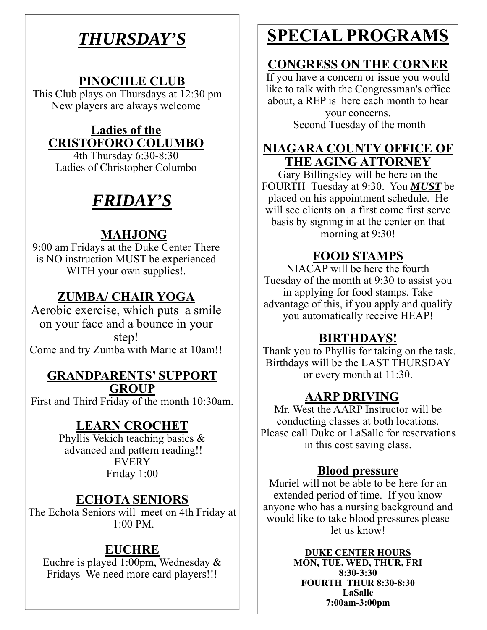# *THURSDAY'S*

#### **PINOCHLE CLUB**

This Club plays on Thursdays at 12:30 pm New players are always welcome

#### **Ladies of the CRISTOFORO COLUMBO**

4th Thursday 6:30-8:30 Ladies of Christopher Columbo

# *FRIDAY'S*

### **MAHJONG**

9:00 am Fridays at the Duke Center There is NO instruction MUST be experienced WITH your own supplies!.

### **ZUMBA/ CHAIR YOGA**

Aerobic exercise, which puts a smile on your face and a bounce in your step! Come and try Zumba with Marie at 10am!!

#### **GRANDPARENTS' SUPPORT GROUP**

First and Third Friday of the month 10:30am.

### **LEARN CROCHET**

Phyllis Vekich teaching basics & advanced and pattern reading!! EVERY Friday 1:00

#### **ECHOTA SENIORS**

The Echota Seniors will meet on 4th Friday at 1:00 PM.

#### **EUCHRE**

Euchre is played 1:00pm, Wednesday & Fridays We need more card players!!!

# **SPECIAL PROGRAMS**

### **CONGRESS ON THE CORNER**

If you have a concern or issue you would like to talk with the Congressman's office about, a REP is here each month to hear your concerns. Second Tuesday of the month

#### **NIAGARA COUNTY OFFICE OF THE AGING ATTORNEY**

Gary Billingsley will be here on the FOURTH Tuesday at 9:30. You *MUST* be placed on his appointment schedule. He will see clients on a first come first serve basis by signing in at the center on that morning at 9:30!

#### **FOOD STAMPS**

NIACAP will be here the fourth Tuesday of the month at 9:30 to assist you in applying for food stamps. Take advantage of this, if you apply and qualify you automatically receive HEAP!

### **BIRTHDAYS!**

 Thank you to Phyllis for taking on the task. Birthdays will be the LAST THURSDAY or every month at 11:30.

### **AARP DRIVING**

Mr. West the AARP Instructor will be conducting classes at both locations. Please call Duke or LaSalle for reservations in this cost saving class.

#### **Blood pressure**

Muriel will not be able to be here for an extended period of time. If you know anyone who has a nursing background and would like to take blood pressures please let us know!

> **DUKE CENTER HOURS MON, TUE, WED, THUR, FRI 8:30-3:30 FOURTH THUR 8:30-8:30 LaSalle 7:00am-3:00pm**